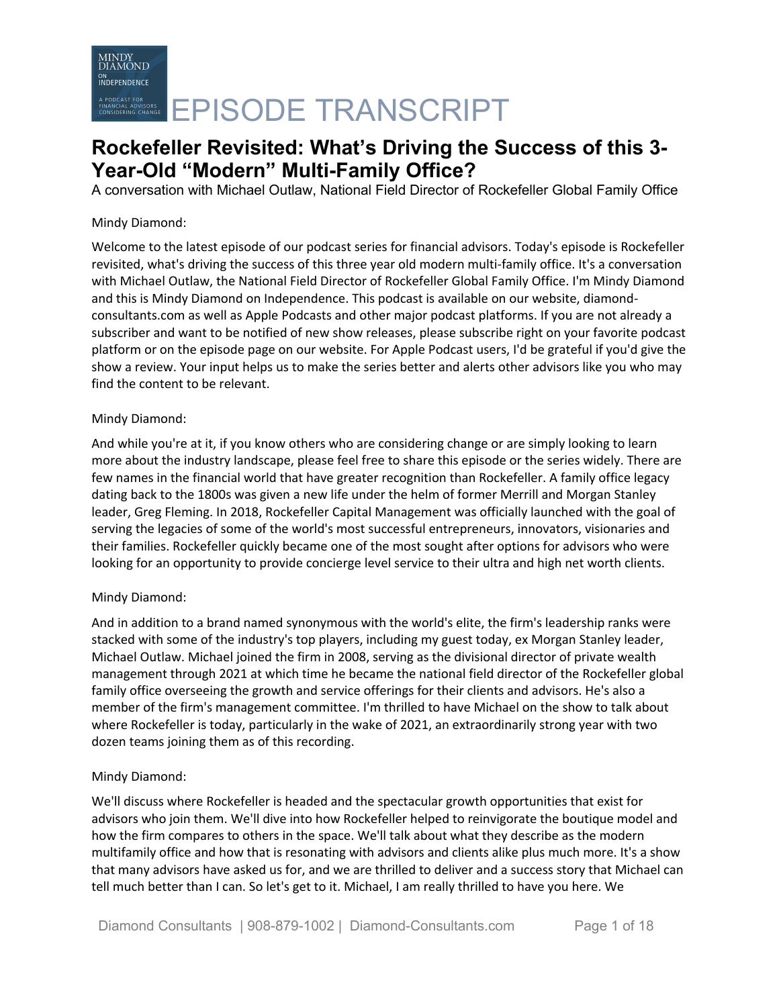A conversation with Michael Outlaw, National Field Director of Rockefeller Global Family Office

### Mindy Diamond:

Welcome to the latest episode of our podcast series for financial advisors. Today's episode is Rockefeller revisited, what's driving the success of this three year old modern multi-family office. It's a conversation with Michael Outlaw, the National Field Director of Rockefeller Global Family Office. I'm Mindy Diamond and this is Mindy Diamond on Independence. This podcast is available on our website, diamondconsultants.com as well as Apple Podcasts and other major podcast platforms. If you are not already a subscriber and want to be notified of new show releases, please subscribe right on your favorite podcast platform or on the episode page on our website. For Apple Podcast users, I'd be grateful if you'd give the show a review. Your input helps us to make the series better and alerts other advisors like you who may find the content to be relevant.

### Mindy Diamond:

And while you're at it, if you know others who are considering change or are simply looking to learn more about the industry landscape, please feel free to share this episode or the series widely. There are few names in the financial world that have greater recognition than Rockefeller. A family office legacy dating back to the 1800s was given a new life under the helm of former Merrill and Morgan Stanley leader, Greg Fleming. In 2018, Rockefeller Capital Management was officially launched with the goal of serving the legacies of some of the world's most successful entrepreneurs, innovators, visionaries and their families. Rockefeller quickly became one of the most sought after options for advisors who were looking for an opportunity to provide concierge level service to their ultra and high net worth clients.

### Mindy Diamond:

And in addition to a brand named synonymous with the world's elite, the firm's leadership ranks were stacked with some of the industry's top players, including my guest today, ex Morgan Stanley leader, Michael Outlaw. Michael joined the firm in 2008, serving as the divisional director of private wealth management through 2021 at which time he became the national field director of the Rockefeller global family office overseeing the growth and service offerings for their clients and advisors. He's also a member of the firm's management committee. I'm thrilled to have Michael on the show to talk about where Rockefeller is today, particularly in the wake of 2021, an extraordinarily strong year with two dozen teams joining them as of this recording.

### Mindy Diamond:

We'll discuss where Rockefeller is headed and the spectacular growth opportunities that exist for advisors who join them. We'll dive into how Rockefeller helped to reinvigorate the boutique model and how the firm compares to others in the space. We'll talk about what they describe as the modern multifamily office and how that is resonating with advisors and clients alike plus much more. It's a show that many advisors have asked us for, and we are thrilled to deliver and a success story that Michael can tell much better than I can. So let's get to it. Michael, I am really thrilled to have you here. We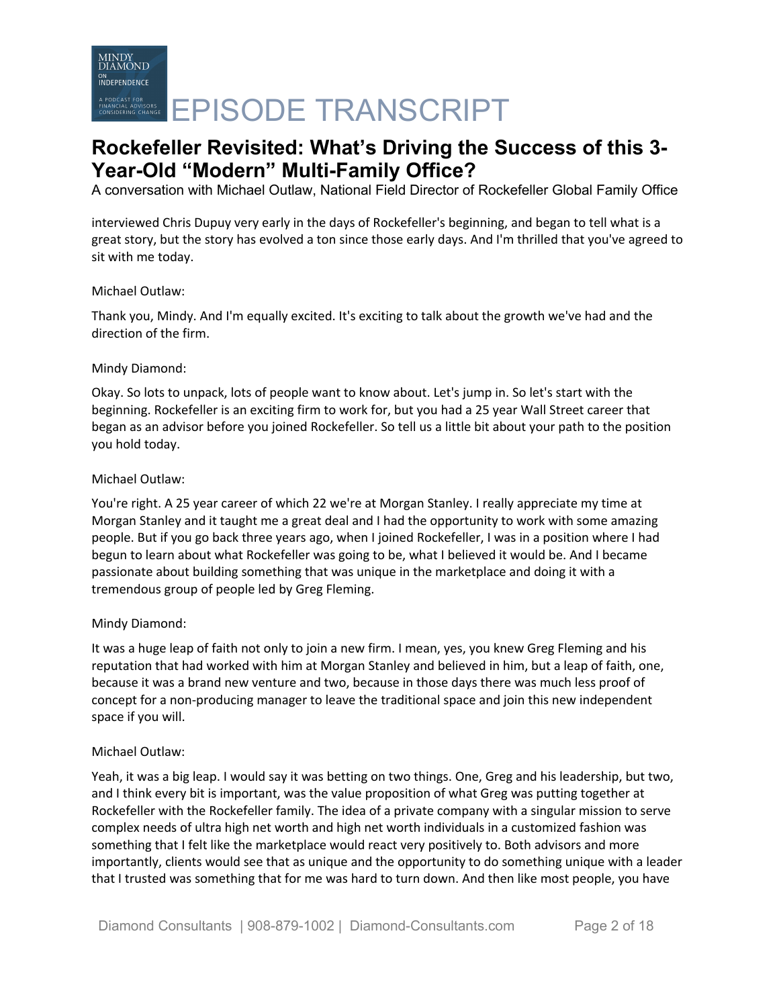A conversation with Michael Outlaw, National Field Director of Rockefeller Global Family Office

interviewed Chris Dupuy very early in the days of Rockefeller's beginning, and began to tell what is a great story, but the story has evolved a ton since those early days. And I'm thrilled that you've agreed to sit with me today.

### Michael Outlaw:

Thank you, Mindy. And I'm equally excited. It's exciting to talk about the growth we've had and the direction of the firm.

### Mindy Diamond:

Okay. So lots to unpack, lots of people want to know about. Let's jump in. So let's start with the beginning. Rockefeller is an exciting firm to work for, but you had a 25 year Wall Street career that began as an advisor before you joined Rockefeller. So tell us a little bit about your path to the position you hold today.

#### Michael Outlaw:

You're right. A 25 year career of which 22 we're at Morgan Stanley. I really appreciate my time at Morgan Stanley and it taught me a great deal and I had the opportunity to work with some amazing people. But if you go back three years ago, when I joined Rockefeller, I was in a position where I had begun to learn about what Rockefeller was going to be, what I believed it would be. And I became passionate about building something that was unique in the marketplace and doing it with a tremendous group of people led by Greg Fleming.

### Mindy Diamond:

It was a huge leap of faith not only to join a new firm. I mean, yes, you knew Greg Fleming and his reputation that had worked with him at Morgan Stanley and believed in him, but a leap of faith, one, because it was a brand new venture and two, because in those days there was much less proof of concept for a non-producing manager to leave the traditional space and join this new independent space if you will.

### Michael Outlaw:

Yeah, it was a big leap. I would say it was betting on two things. One, Greg and his leadership, but two, and I think every bit is important, was the value proposition of what Greg was putting together at Rockefeller with the Rockefeller family. The idea of a private company with a singular mission to serve complex needs of ultra high net worth and high net worth individuals in a customized fashion was something that I felt like the marketplace would react very positively to. Both advisors and more importantly, clients would see that as unique and the opportunity to do something unique with a leader that I trusted was something that for me was hard to turn down. And then like most people, you have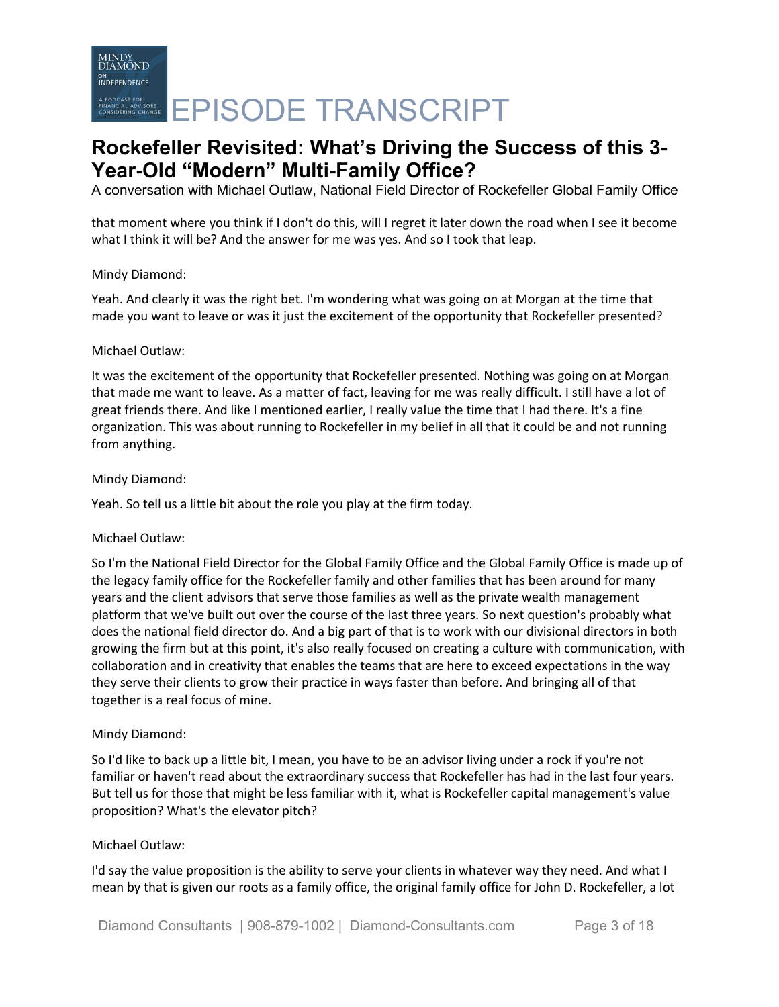A conversation with Michael Outlaw, National Field Director of Rockefeller Global Family Office

that moment where you think if I don't do this, will I regret it later down the road when I see it become what I think it will be? And the answer for me was yes. And so I took that leap.

### Mindy Diamond:

Yeah. And clearly it was the right bet. I'm wondering what was going on at Morgan at the time that made you want to leave or was it just the excitement of the opportunity that Rockefeller presented?

#### Michael Outlaw:

It was the excitement of the opportunity that Rockefeller presented. Nothing was going on at Morgan that made me want to leave. As a matter of fact, leaving for me was really difficult. I still have a lot of great friends there. And like I mentioned earlier, I really value the time that I had there. It's a fine organization. This was about running to Rockefeller in my belief in all that it could be and not running from anything.

#### Mindy Diamond:

Yeah. So tell us a little bit about the role you play at the firm today.

### Michael Outlaw:

So I'm the National Field Director for the Global Family Office and the Global Family Office is made up of the legacy family office for the Rockefeller family and other families that has been around for many years and the client advisors that serve those families as well as the private wealth management platform that we've built out over the course of the last three years. So next question's probably what does the national field director do. And a big part of that is to work with our divisional directors in both growing the firm but at this point, it's also really focused on creating a culture with communication, with collaboration and in creativity that enables the teams that are here to exceed expectations in the way they serve their clients to grow their practice in ways faster than before. And bringing all of that together is a real focus of mine.

### Mindy Diamond:

So I'd like to back up a little bit, I mean, you have to be an advisor living under a rock if you're not familiar or haven't read about the extraordinary success that Rockefeller has had in the last four years. But tell us for those that might be less familiar with it, what is Rockefeller capital management's value proposition? What's the elevator pitch?

#### Michael Outlaw:

I'd say the value proposition is the ability to serve your clients in whatever way they need. And what I mean by that is given our roots as a family office, the original family office for John D. Rockefeller, a lot

Diamond Consultants | 908-879-1002 | Diamond-Consultants.com Page 3 of 18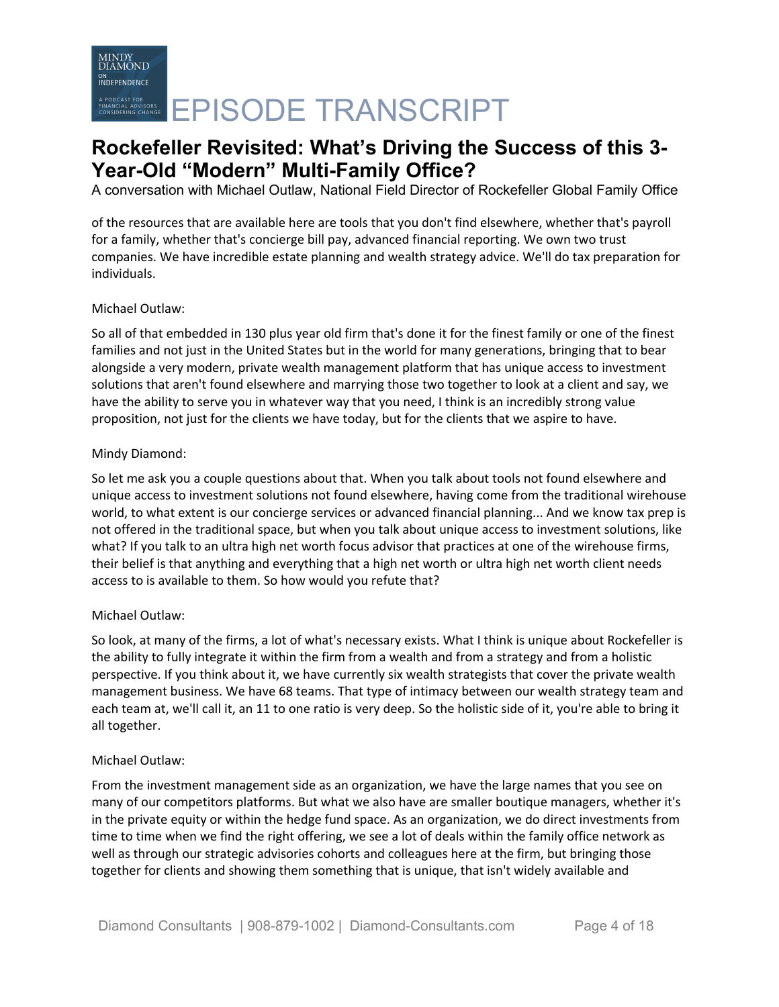A conversation with Michael Outlaw, National Field Director of Rockefeller Global Family Office

of the resources that are available here are tools that you don't find elsewhere, whether that's payroll for a family, whether that's concierge bill pay, advanced financial reporting. We own two trust companies. We have incredible estate planning and wealth strategy advice. We'll do tax preparation for individuals.

### Michael Outlaw:

So all of that embedded in 130 plus year old firm that's done it for the finest family or one of the finest families and not just in the United States but in the world for many generations, bringing that to bear alongside a very modern, private wealth management platform that has unique access to investment solutions that aren't found elsewhere and marrying those two together to look at a client and say, we have the ability to serve you in whatever way that you need, I think is an incredibly strong value proposition, not just for the clients we have today, but for the clients that we aspire to have.

### Mindy Diamond:

So let me ask you a couple questions about that. When you talk about tools not found elsewhere and unique access to investment solutions not found elsewhere, having come from the traditional wirehouse world, to what extent is our concierge services or advanced financial planning... And we know tax prep is not offered in the traditional space, but when you talk about unique access to investment solutions, like what? If you talk to an ultra high net worth focus advisor that practices at one of the wirehouse firms, their belief is that anything and everything that a high net worth or ultra high net worth client needs access to is available to them. So how would you refute that?

### Michael Outlaw:

So look, at many of the firms, a lot of what's necessary exists. What I think is unique about Rockefeller is the ability to fully integrate it within the firm from a wealth and from a strategy and from a holistic perspective. If you think about it, we have currently six wealth strategists that cover the private wealth management business. We have 68 teams. That type of intimacy between our wealth strategy team and each team at, we'll call it, an 11 to one ratio is very deep. So the holistic side of it, you're able to bring it all together.

### Michael Outlaw:

From the investment management side as an organization, we have the large names that you see on many of our competitors platforms. But what we also have are smaller boutique managers, whether it's in the private equity or within the hedge fund space. As an organization, we do direct investments from time to time when we find the right offering, we see a lot of deals within the family office network as well as through our strategic advisories cohorts and colleagues here at the firm, but bringing those together for clients and showing them something that is unique, that isn't widely available and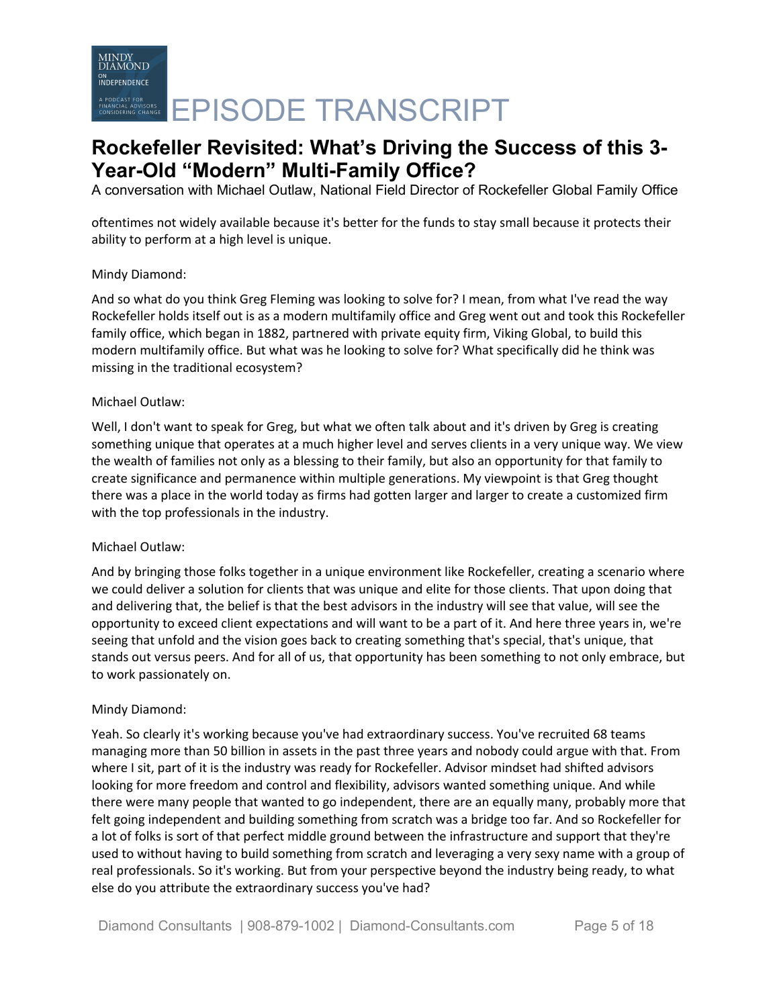A conversation with Michael Outlaw, National Field Director of Rockefeller Global Family Office

oftentimes not widely available because it's better for the funds to stay small because it protects their ability to perform at a high level is unique.

### Mindy Diamond:

And so what do you think Greg Fleming was looking to solve for? I mean, from what I've read the way Rockefeller holds itself out is as a modern multifamily office and Greg went out and took this Rockefeller family office, which began in 1882, partnered with private equity firm, Viking Global, to build this modern multifamily office. But what was he looking to solve for? What specifically did he think was missing in the traditional ecosystem?

### Michael Outlaw:

Well, I don't want to speak for Greg, but what we often talk about and it's driven by Greg is creating something unique that operates at a much higher level and serves clients in a very unique way. We view the wealth of families not only as a blessing to their family, but also an opportunity for that family to create significance and permanence within multiple generations. My viewpoint is that Greg thought there was a place in the world today as firms had gotten larger and larger to create a customized firm with the top professionals in the industry.

### Michael Outlaw:

And by bringing those folks together in a unique environment like Rockefeller, creating a scenario where we could deliver a solution for clients that was unique and elite for those clients. That upon doing that and delivering that, the belief is that the best advisors in the industry will see that value, will see the opportunity to exceed client expectations and will want to be a part of it. And here three years in, we're seeing that unfold and the vision goes back to creating something that's special, that's unique, that stands out versus peers. And for all of us, that opportunity has been something to not only embrace, but to work passionately on.

### Mindy Diamond:

Yeah. So clearly it's working because you've had extraordinary success. You've recruited 68 teams managing more than 50 billion in assets in the past three years and nobody could argue with that. From where I sit, part of it is the industry was ready for Rockefeller. Advisor mindset had shifted advisors looking for more freedom and control and flexibility, advisors wanted something unique. And while there were many people that wanted to go independent, there are an equally many, probably more that felt going independent and building something from scratch was a bridge too far. And so Rockefeller for a lot of folks is sort of that perfect middle ground between the infrastructure and support that they're used to without having to build something from scratch and leveraging a very sexy name with a group of real professionals. So it's working. But from your perspective beyond the industry being ready, to what else do you attribute the extraordinary success you've had?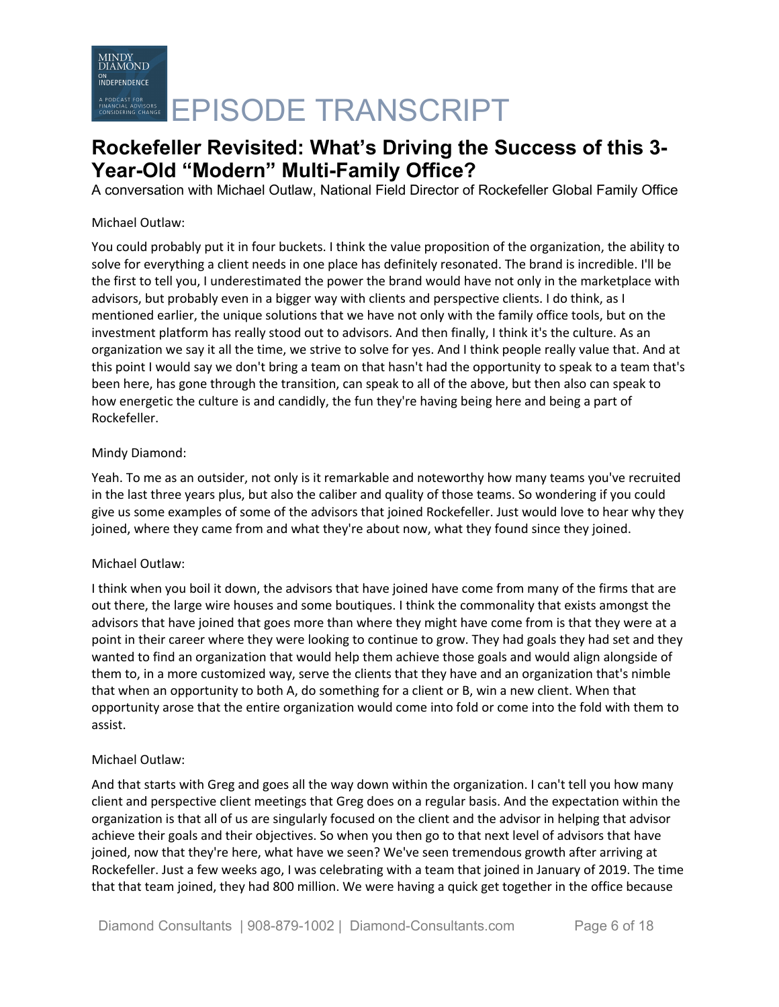# EPISODE TRANSCRIPT

### **Rockefeller Revisited: What's Driving the Success of this 3- Year-Old "Modern" Multi-Family Office?**

A conversation with Michael Outlaw, National Field Director of Rockefeller Global Family Office

### Michael Outlaw:

You could probably put it in four buckets. I think the value proposition of the organization, the ability to solve for everything a client needs in one place has definitely resonated. The brand is incredible. I'll be the first to tell you, I underestimated the power the brand would have not only in the marketplace with advisors, but probably even in a bigger way with clients and perspective clients. I do think, as I mentioned earlier, the unique solutions that we have not only with the family office tools, but on the investment platform has really stood out to advisors. And then finally, I think it's the culture. As an organization we say it all the time, we strive to solve for yes. And I think people really value that. And at this point I would say we don't bring a team on that hasn't had the opportunity to speak to a team that's been here, has gone through the transition, can speak to all of the above, but then also can speak to how energetic the culture is and candidly, the fun they're having being here and being a part of Rockefeller.

### Mindy Diamond:

Yeah. To me as an outsider, not only is it remarkable and noteworthy how many teams you've recruited in the last three years plus, but also the caliber and quality of those teams. So wondering if you could give us some examples of some of the advisors that joined Rockefeller. Just would love to hear why they joined, where they came from and what they're about now, what they found since they joined.

### Michael Outlaw:

I think when you boil it down, the advisors that have joined have come from many of the firms that are out there, the large wire houses and some boutiques. I think the commonality that exists amongst the advisors that have joined that goes more than where they might have come from is that they were at a point in their career where they were looking to continue to grow. They had goals they had set and they wanted to find an organization that would help them achieve those goals and would align alongside of them to, in a more customized way, serve the clients that they have and an organization that's nimble that when an opportunity to both A, do something for a client or B, win a new client. When that opportunity arose that the entire organization would come into fold or come into the fold with them to assist.

### Michael Outlaw:

And that starts with Greg and goes all the way down within the organization. I can't tell you how many client and perspective client meetings that Greg does on a regular basis. And the expectation within the organization is that all of us are singularly focused on the client and the advisor in helping that advisor achieve their goals and their objectives. So when you then go to that next level of advisors that have joined, now that they're here, what have we seen? We've seen tremendous growth after arriving at Rockefeller. Just a few weeks ago, I was celebrating with a team that joined in January of 2019. The time that that team joined, they had 800 million. We were having a quick get together in the office because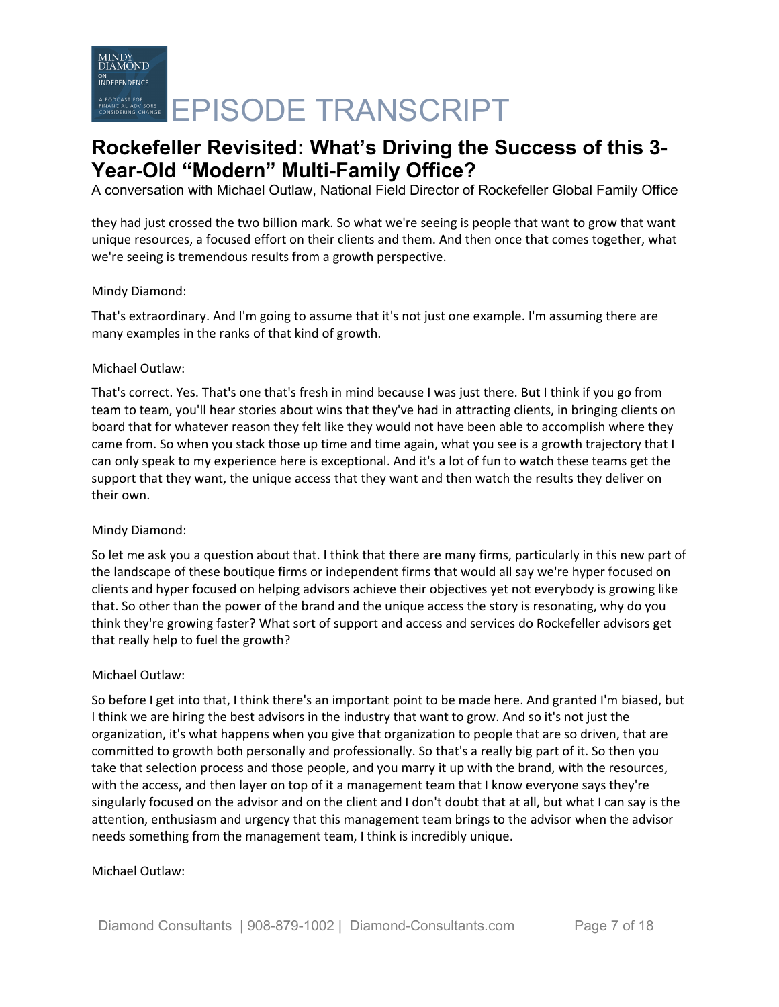A conversation with Michael Outlaw, National Field Director of Rockefeller Global Family Office

they had just crossed the two billion mark. So what we're seeing is people that want to grow that want unique resources, a focused effort on their clients and them. And then once that comes together, what we're seeing is tremendous results from a growth perspective.

### Mindy Diamond:

That's extraordinary. And I'm going to assume that it's not just one example. I'm assuming there are many examples in the ranks of that kind of growth.

### Michael Outlaw:

That's correct. Yes. That's one that's fresh in mind because I was just there. But I think if you go from team to team, you'll hear stories about wins that they've had in attracting clients, in bringing clients on board that for whatever reason they felt like they would not have been able to accomplish where they came from. So when you stack those up time and time again, what you see is a growth trajectory that I can only speak to my experience here is exceptional. And it's a lot of fun to watch these teams get the support that they want, the unique access that they want and then watch the results they deliver on their own.

### Mindy Diamond:

So let me ask you a question about that. I think that there are many firms, particularly in this new part of the landscape of these boutique firms or independent firms that would all say we're hyper focused on clients and hyper focused on helping advisors achieve their objectives yet not everybody is growing like that. So other than the power of the brand and the unique access the story is resonating, why do you think they're growing faster? What sort of support and access and services do Rockefeller advisors get that really help to fuel the growth?

### Michael Outlaw:

So before I get into that, I think there's an important point to be made here. And granted I'm biased, but I think we are hiring the best advisors in the industry that want to grow. And so it's not just the organization, it's what happens when you give that organization to people that are so driven, that are committed to growth both personally and professionally. So that's a really big part of it. So then you take that selection process and those people, and you marry it up with the brand, with the resources, with the access, and then layer on top of it a management team that I know everyone says they're singularly focused on the advisor and on the client and I don't doubt that at all, but what I can say is the attention, enthusiasm and urgency that this management team brings to the advisor when the advisor needs something from the management team, I think is incredibly unique.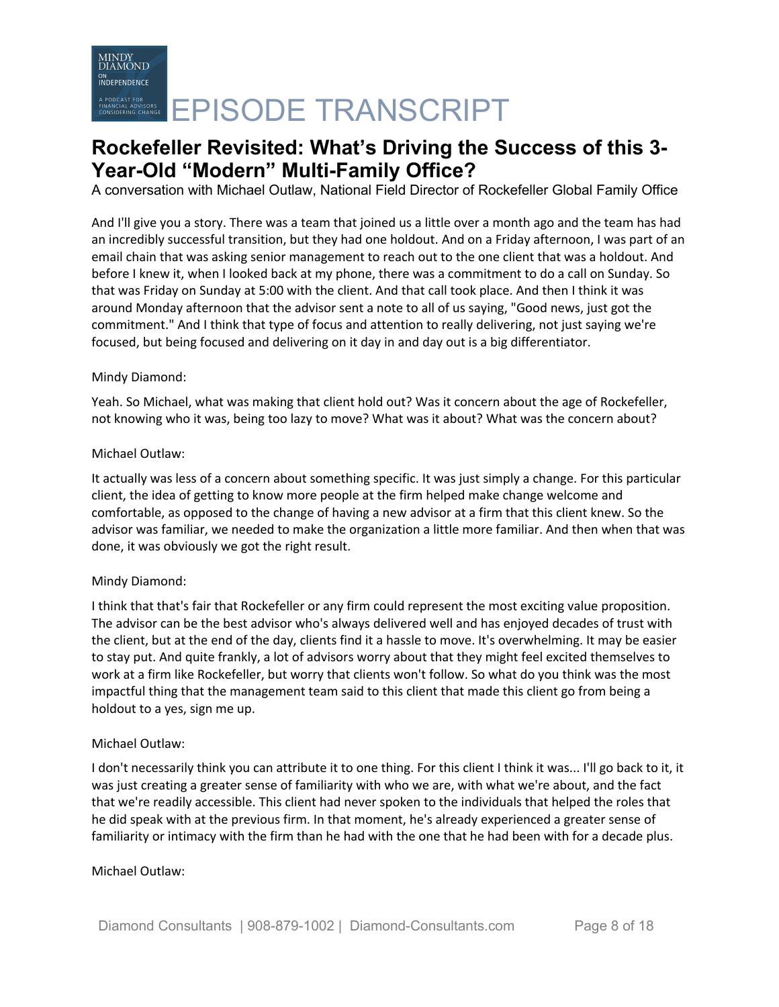A conversation with Michael Outlaw, National Field Director of Rockefeller Global Family Office

And I'll give you a story. There was a team that joined us a little over a month ago and the team has had an incredibly successful transition, but they had one holdout. And on a Friday afternoon, I was part of an email chain that was asking senior management to reach out to the one client that was a holdout. And before I knew it, when I looked back at my phone, there was a commitment to do a call on Sunday. So that was Friday on Sunday at 5:00 with the client. And that call took place. And then I think it was around Monday afternoon that the advisor sent a note to all of us saying, "Good news, just got the commitment." And I think that type of focus and attention to really delivering, not just saying we're focused, but being focused and delivering on it day in and day out is a big differentiator.

### Mindy Diamond:

Yeah. So Michael, what was making that client hold out? Was it concern about the age of Rockefeller, not knowing who it was, being too lazy to move? What was it about? What was the concern about?

### Michael Outlaw:

It actually was less of a concern about something specific. It was just simply a change. For this particular client, the idea of getting to know more people at the firm helped make change welcome and comfortable, as opposed to the change of having a new advisor at a firm that this client knew. So the advisor was familiar, we needed to make the organization a little more familiar. And then when that was done, it was obviously we got the right result.

### Mindy Diamond:

I think that that's fair that Rockefeller or any firm could represent the most exciting value proposition. The advisor can be the best advisor who's always delivered well and has enjoyed decades of trust with the client, but at the end of the day, clients find it a hassle to move. It's overwhelming. It may be easier to stay put. And quite frankly, a lot of advisors worry about that they might feel excited themselves to work at a firm like Rockefeller, but worry that clients won't follow. So what do you think was the most impactful thing that the management team said to this client that made this client go from being a holdout to a yes, sign me up.

### Michael Outlaw:

I don't necessarily think you can attribute it to one thing. For this client I think it was... I'll go back to it, it was just creating a greater sense of familiarity with who we are, with what we're about, and the fact that we're readily accessible. This client had never spoken to the individuals that helped the roles that he did speak with at the previous firm. In that moment, he's already experienced a greater sense of familiarity or intimacy with the firm than he had with the one that he had been with for a decade plus.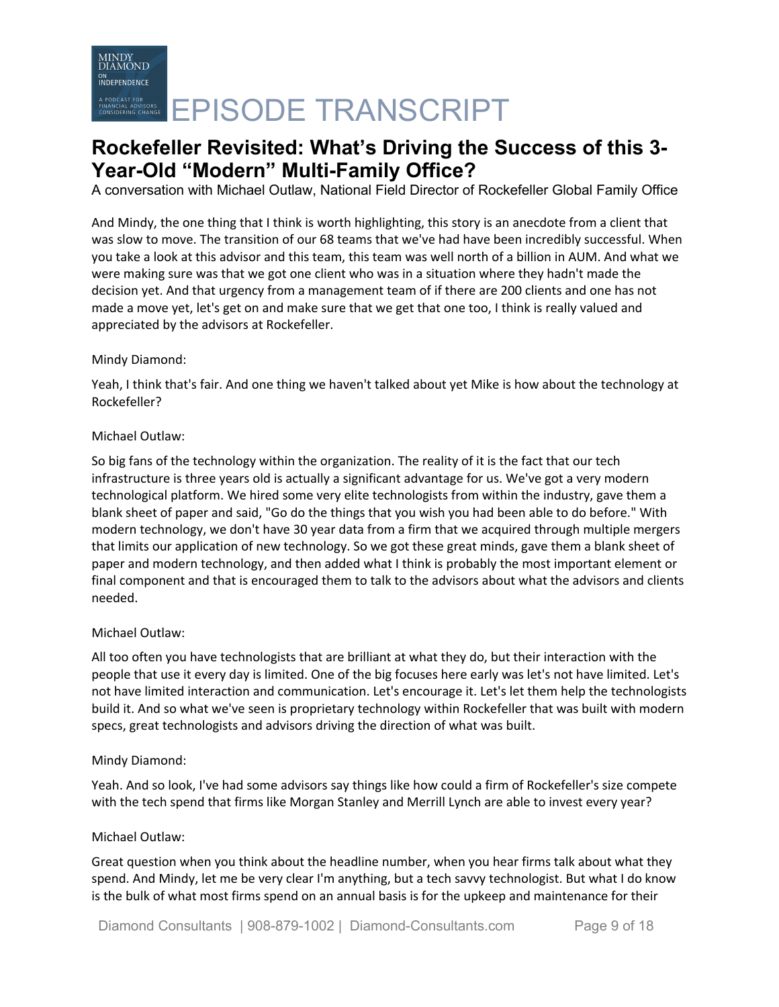A conversation with Michael Outlaw, National Field Director of Rockefeller Global Family Office

And Mindy, the one thing that I think is worth highlighting, this story is an anecdote from a client that was slow to move. The transition of our 68 teams that we've had have been incredibly successful. When you take a look at this advisor and this team, this team was well north of a billion in AUM. And what we were making sure was that we got one client who was in a situation where they hadn't made the decision yet. And that urgency from a management team of if there are 200 clients and one has not made a move yet, let's get on and make sure that we get that one too, I think is really valued and appreciated by the advisors at Rockefeller.

### Mindy Diamond:

Yeah, I think that's fair. And one thing we haven't talked about yet Mike is how about the technology at Rockefeller?

### Michael Outlaw:

So big fans of the technology within the organization. The reality of it is the fact that our tech infrastructure is three years old is actually a significant advantage for us. We've got a very modern technological platform. We hired some very elite technologists from within the industry, gave them a blank sheet of paper and said, "Go do the things that you wish you had been able to do before." With modern technology, we don't have 30 year data from a firm that we acquired through multiple mergers that limits our application of new technology. So we got these great minds, gave them a blank sheet of paper and modern technology, and then added what I think is probably the most important element or final component and that is encouraged them to talk to the advisors about what the advisors and clients needed.

### Michael Outlaw:

All too often you have technologists that are brilliant at what they do, but their interaction with the people that use it every day is limited. One of the big focuses here early was let's not have limited. Let's not have limited interaction and communication. Let's encourage it. Let's let them help the technologists build it. And so what we've seen is proprietary technology within Rockefeller that was built with modern specs, great technologists and advisors driving the direction of what was built.

### Mindy Diamond:

Yeah. And so look, I've had some advisors say things like how could a firm of Rockefeller's size compete with the tech spend that firms like Morgan Stanley and Merrill Lynch are able to invest every year?

### Michael Outlaw:

Great question when you think about the headline number, when you hear firms talk about what they spend. And Mindy, let me be very clear I'm anything, but a tech savvy technologist. But what I do know is the bulk of what most firms spend on an annual basis is for the upkeep and maintenance for their

Diamond Consultants | 908-879-1002 | Diamond-Consultants.com Page 9 of 18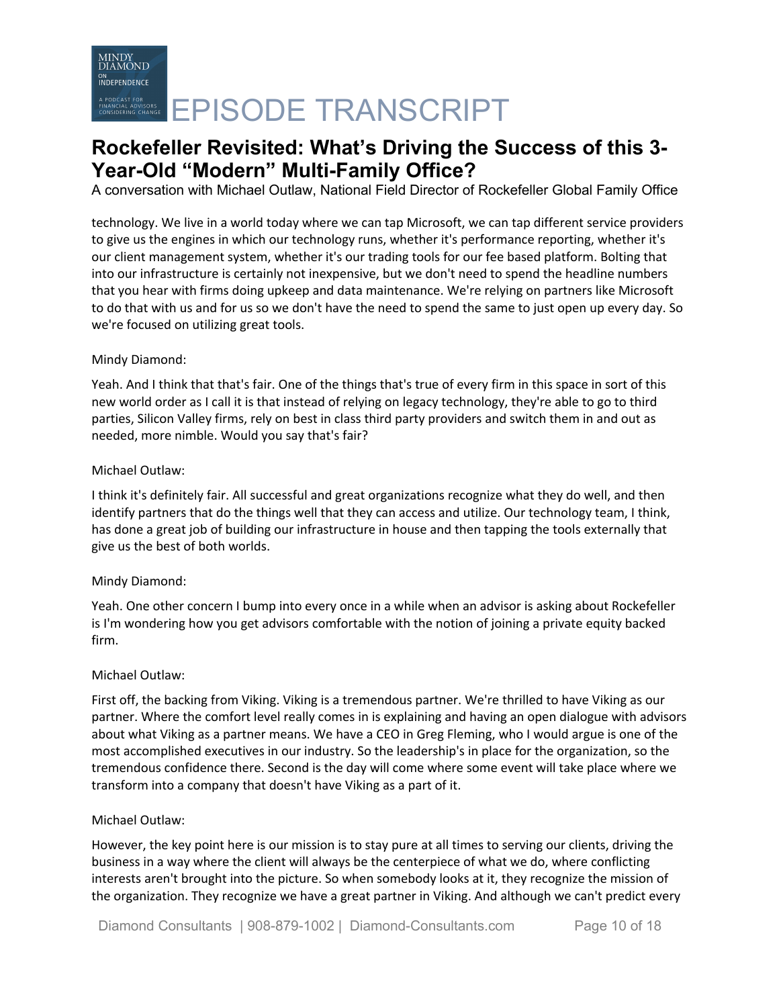A conversation with Michael Outlaw, National Field Director of Rockefeller Global Family Office

technology. We live in a world today where we can tap Microsoft, we can tap different service providers to give us the engines in which our technology runs, whether it's performance reporting, whether it's our client management system, whether it's our trading tools for our fee based platform. Bolting that into our infrastructure is certainly not inexpensive, but we don't need to spend the headline numbers that you hear with firms doing upkeep and data maintenance. We're relying on partners like Microsoft to do that with us and for us so we don't have the need to spend the same to just open up every day. So we're focused on utilizing great tools.

### Mindy Diamond:

Yeah. And I think that that's fair. One of the things that's true of every firm in this space in sort of this new world order as I call it is that instead of relying on legacy technology, they're able to go to third parties, Silicon Valley firms, rely on best in class third party providers and switch them in and out as needed, more nimble. Would you say that's fair?

### Michael Outlaw:

I think it's definitely fair. All successful and great organizations recognize what they do well, and then identify partners that do the things well that they can access and utilize. Our technology team, I think, has done a great job of building our infrastructure in house and then tapping the tools externally that give us the best of both worlds.

### Mindy Diamond:

Yeah. One other concern I bump into every once in a while when an advisor is asking about Rockefeller is I'm wondering how you get advisors comfortable with the notion of joining a private equity backed firm.

### Michael Outlaw:

First off, the backing from Viking. Viking is a tremendous partner. We're thrilled to have Viking as our partner. Where the comfort level really comes in is explaining and having an open dialogue with advisors about what Viking as a partner means. We have a CEO in Greg Fleming, who I would argue is one of the most accomplished executives in our industry. So the leadership's in place for the organization, so the tremendous confidence there. Second is the day will come where some event will take place where we transform into a company that doesn't have Viking as a part of it.

### Michael Outlaw:

However, the key point here is our mission is to stay pure at all times to serving our clients, driving the business in a way where the client will always be the centerpiece of what we do, where conflicting interests aren't brought into the picture. So when somebody looks at it, they recognize the mission of the organization. They recognize we have a great partner in Viking. And although we can't predict every

Diamond Consultants | 908-879-1002 | Diamond-Consultants.com Page 10 of 18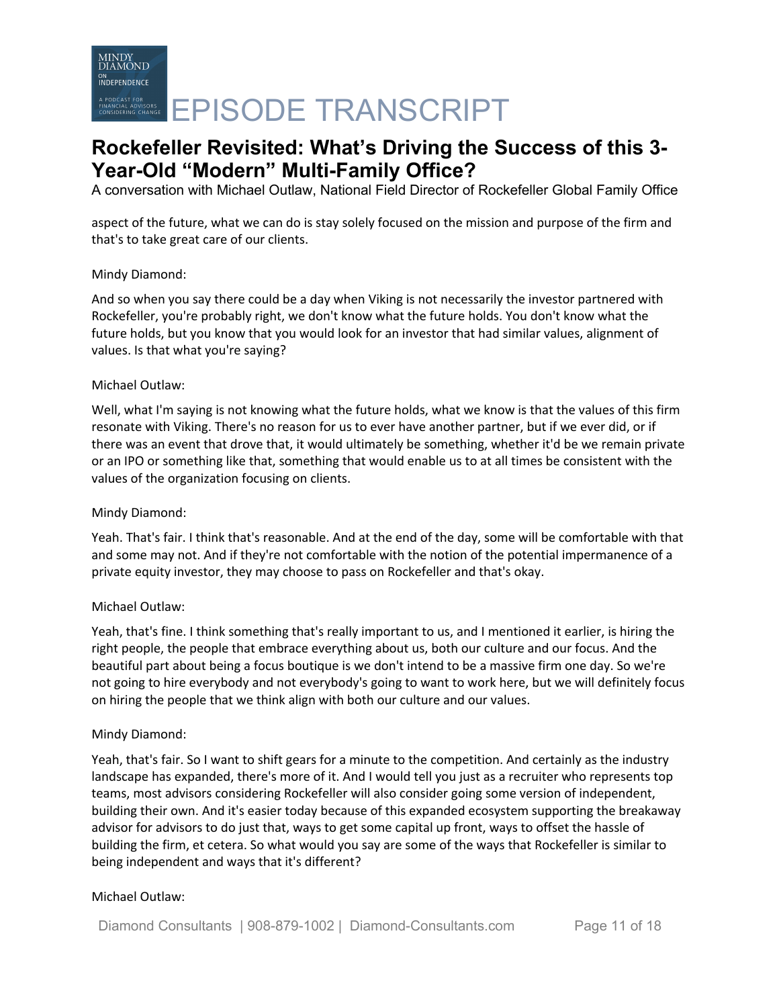A conversation with Michael Outlaw, National Field Director of Rockefeller Global Family Office

aspect of the future, what we can do is stay solely focused on the mission and purpose of the firm and that's to take great care of our clients.

### Mindy Diamond:

And so when you say there could be a day when Viking is not necessarily the investor partnered with Rockefeller, you're probably right, we don't know what the future holds. You don't know what the future holds, but you know that you would look for an investor that had similar values, alignment of values. Is that what you're saying?

### Michael Outlaw:

Well, what I'm saying is not knowing what the future holds, what we know is that the values of this firm resonate with Viking. There's no reason for us to ever have another partner, but if we ever did, or if there was an event that drove that, it would ultimately be something, whether it'd be we remain private or an IPO or something like that, something that would enable us to at all times be consistent with the values of the organization focusing on clients.

### Mindy Diamond:

Yeah. That's fair. I think that's reasonable. And at the end of the day, some will be comfortable with that and some may not. And if they're not comfortable with the notion of the potential impermanence of a private equity investor, they may choose to pass on Rockefeller and that's okay.

### Michael Outlaw:

Yeah, that's fine. I think something that's really important to us, and I mentioned it earlier, is hiring the right people, the people that embrace everything about us, both our culture and our focus. And the beautiful part about being a focus boutique is we don't intend to be a massive firm one day. So we're not going to hire everybody and not everybody's going to want to work here, but we will definitely focus on hiring the people that we think align with both our culture and our values.

### Mindy Diamond:

Yeah, that's fair. So I want to shift gears for a minute to the competition. And certainly as the industry landscape has expanded, there's more of it. And I would tell you just as a recruiter who represents top teams, most advisors considering Rockefeller will also consider going some version of independent, building their own. And it's easier today because of this expanded ecosystem supporting the breakaway advisor for advisors to do just that, ways to get some capital up front, ways to offset the hassle of building the firm, et cetera. So what would you say are some of the ways that Rockefeller is similar to being independent and ways that it's different?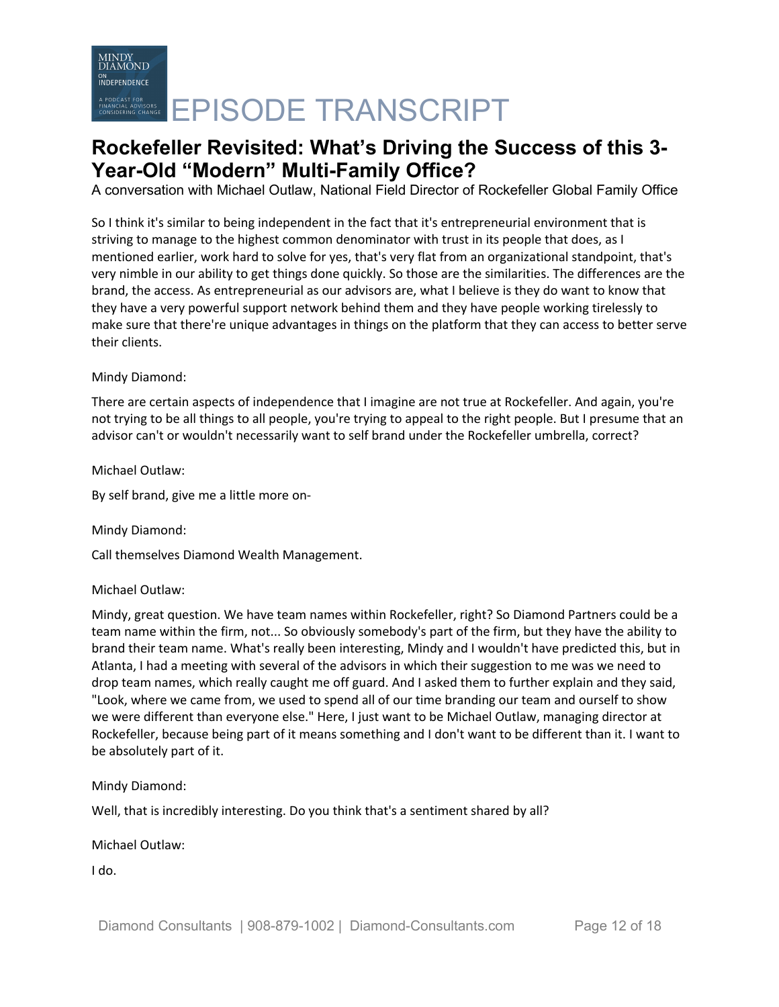A conversation with Michael Outlaw, National Field Director of Rockefeller Global Family Office

So I think it's similar to being independent in the fact that it's entrepreneurial environment that is striving to manage to the highest common denominator with trust in its people that does, as I mentioned earlier, work hard to solve for yes, that's very flat from an organizational standpoint, that's very nimble in our ability to get things done quickly. So those are the similarities. The differences are the brand, the access. As entrepreneurial as our advisors are, what I believe is they do want to know that they have a very powerful support network behind them and they have people working tirelessly to make sure that there're unique advantages in things on the platform that they can access to better serve their clients.

### Mindy Diamond:

There are certain aspects of independence that I imagine are not true at Rockefeller. And again, you're not trying to be all things to all people, you're trying to appeal to the right people. But I presume that an advisor can't or wouldn't necessarily want to self brand under the Rockefeller umbrella, correct?

Michael Outlaw:

By self brand, give me a little more on-

Mindy Diamond:

Call themselves Diamond Wealth Management.

### Michael Outlaw:

Mindy, great question. We have team names within Rockefeller, right? So Diamond Partners could be a team name within the firm, not... So obviously somebody's part of the firm, but they have the ability to brand their team name. What's really been interesting, Mindy and I wouldn't have predicted this, but in Atlanta, I had a meeting with several of the advisors in which their suggestion to me was we need to drop team names, which really caught me off guard. And I asked them to further explain and they said, "Look, where we came from, we used to spend all of our time branding our team and ourself to show we were different than everyone else." Here, I just want to be Michael Outlaw, managing director at Rockefeller, because being part of it means something and I don't want to be different than it. I want to be absolutely part of it.

Mindy Diamond:

Well, that is incredibly interesting. Do you think that's a sentiment shared by all?

Michael Outlaw:

I do.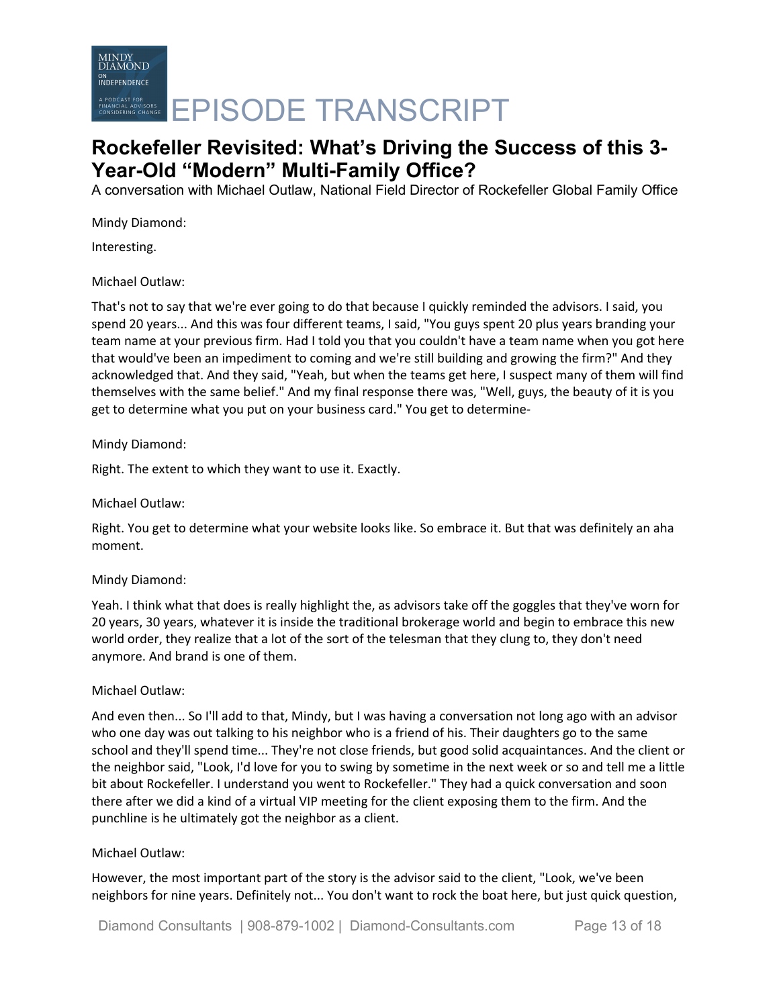

A conversation with Michael Outlaw, National Field Director of Rockefeller Global Family Office

Mindy Diamond:

Interesting.

Michael Outlaw:

That's not to say that we're ever going to do that because I quickly reminded the advisors. I said, you spend 20 years... And this was four different teams, I said, "You guys spent 20 plus years branding your team name at your previous firm. Had I told you that you couldn't have a team name when you got here that would've been an impediment to coming and we're still building and growing the firm?" And they acknowledged that. And they said, "Yeah, but when the teams get here, I suspect many of them will find themselves with the same belief." And my final response there was, "Well, guys, the beauty of it is you get to determine what you put on your business card." You get to determine-

### Mindy Diamond:

Right. The extent to which they want to use it. Exactly.

Michael Outlaw:

Right. You get to determine what your website looks like. So embrace it. But that was definitely an aha moment.

### Mindy Diamond:

Yeah. I think what that does is really highlight the, as advisors take off the goggles that they've worn for 20 years, 30 years, whatever it is inside the traditional brokerage world and begin to embrace this new world order, they realize that a lot of the sort of the telesman that they clung to, they don't need anymore. And brand is one of them.

### Michael Outlaw:

And even then... So I'll add to that, Mindy, but I was having a conversation not long ago with an advisor who one day was out talking to his neighbor who is a friend of his. Their daughters go to the same school and they'll spend time... They're not close friends, but good solid acquaintances. And the client or the neighbor said, "Look, I'd love for you to swing by sometime in the next week or so and tell me a little bit about Rockefeller. I understand you went to Rockefeller." They had a quick conversation and soon there after we did a kind of a virtual VIP meeting for the client exposing them to the firm. And the punchline is he ultimately got the neighbor as a client.

### Michael Outlaw:

However, the most important part of the story is the advisor said to the client, "Look, we've been neighbors for nine years. Definitely not... You don't want to rock the boat here, but just quick question,

Diamond Consultants | 908-879-1002 | Diamond-Consultants.com Page 13 of 18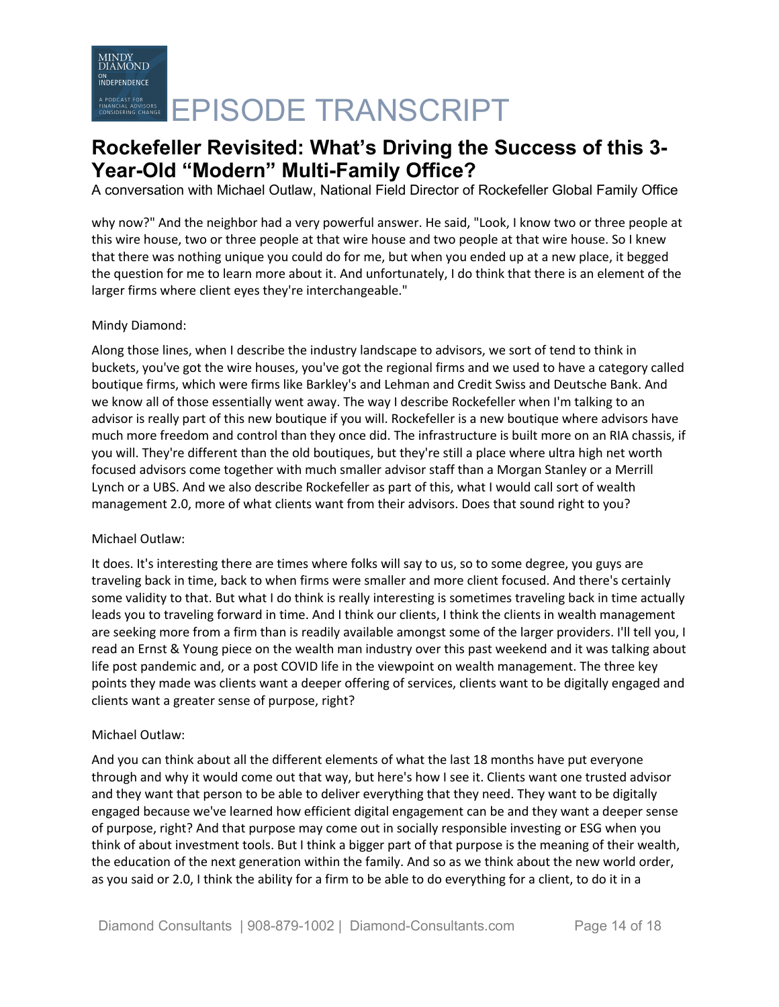A conversation with Michael Outlaw, National Field Director of Rockefeller Global Family Office

why now?" And the neighbor had a very powerful answer. He said, "Look, I know two or three people at this wire house, two or three people at that wire house and two people at that wire house. So I knew that there was nothing unique you could do for me, but when you ended up at a new place, it begged the question for me to learn more about it. And unfortunately, I do think that there is an element of the larger firms where client eyes they're interchangeable."

### Mindy Diamond:

Along those lines, when I describe the industry landscape to advisors, we sort of tend to think in buckets, you've got the wire houses, you've got the regional firms and we used to have a category called boutique firms, which were firms like Barkley's and Lehman and Credit Swiss and Deutsche Bank. And we know all of those essentially went away. The way I describe Rockefeller when I'm talking to an advisor is really part of this new boutique if you will. Rockefeller is a new boutique where advisors have much more freedom and control than they once did. The infrastructure is built more on an RIA chassis, if you will. They're different than the old boutiques, but they're still a place where ultra high net worth focused advisors come together with much smaller advisor staff than a Morgan Stanley or a Merrill Lynch or a UBS. And we also describe Rockefeller as part of this, what I would call sort of wealth management 2.0, more of what clients want from their advisors. Does that sound right to you?

### Michael Outlaw:

It does. It's interesting there are times where folks will say to us, so to some degree, you guys are traveling back in time, back to when firms were smaller and more client focused. And there's certainly some validity to that. But what I do think is really interesting is sometimes traveling back in time actually leads you to traveling forward in time. And I think our clients, I think the clients in wealth management are seeking more from a firm than is readily available amongst some of the larger providers. I'll tell you, I read an Ernst & Young piece on the wealth man industry over this past weekend and it was talking about life post pandemic and, or a post COVID life in the viewpoint on wealth management. The three key points they made was clients want a deeper offering of services, clients want to be digitally engaged and clients want a greater sense of purpose, right?

### Michael Outlaw:

And you can think about all the different elements of what the last 18 months have put everyone through and why it would come out that way, but here's how I see it. Clients want one trusted advisor and they want that person to be able to deliver everything that they need. They want to be digitally engaged because we've learned how efficient digital engagement can be and they want a deeper sense of purpose, right? And that purpose may come out in socially responsible investing or ESG when you think of about investment tools. But I think a bigger part of that purpose is the meaning of their wealth, the education of the next generation within the family. And so as we think about the new world order, as you said or 2.0, I think the ability for a firm to be able to do everything for a client, to do it in a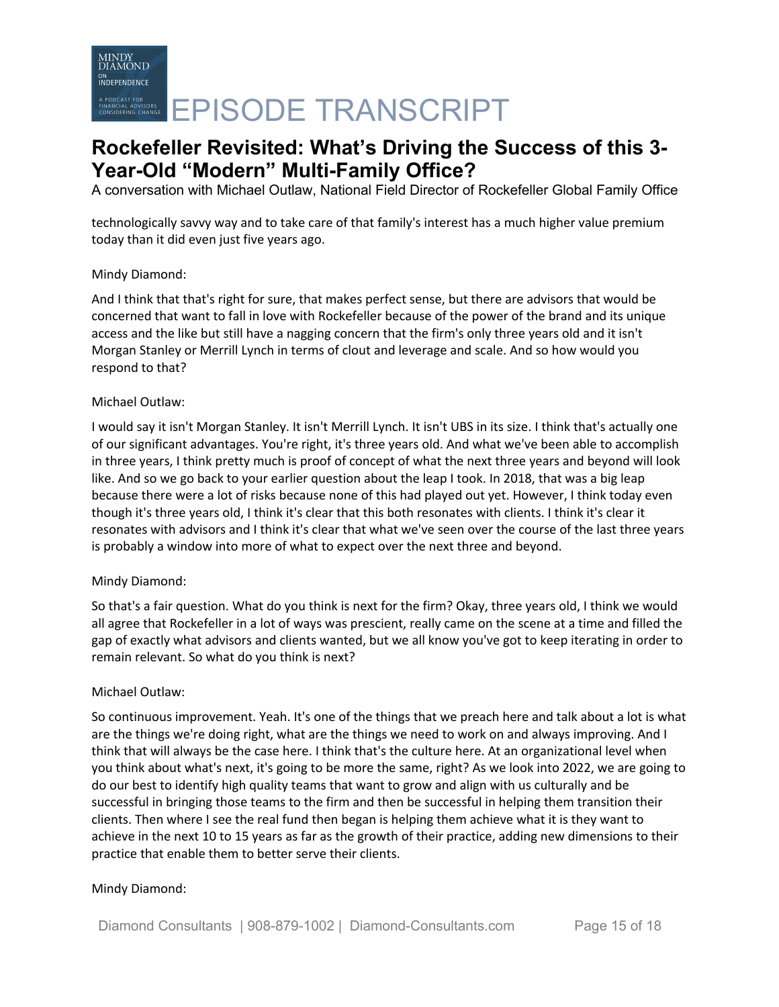A conversation with Michael Outlaw, National Field Director of Rockefeller Global Family Office

technologically savvy way and to take care of that family's interest has a much higher value premium today than it did even just five years ago.

### Mindy Diamond:

And I think that that's right for sure, that makes perfect sense, but there are advisors that would be concerned that want to fall in love with Rockefeller because of the power of the brand and its unique access and the like but still have a nagging concern that the firm's only three years old and it isn't Morgan Stanley or Merrill Lynch in terms of clout and leverage and scale. And so how would you respond to that?

### Michael Outlaw:

I would say it isn't Morgan Stanley. It isn't Merrill Lynch. It isn't UBS in its size. I think that's actually one of our significant advantages. You're right, it's three years old. And what we've been able to accomplish in three years, I think pretty much is proof of concept of what the next three years and beyond will look like. And so we go back to your earlier question about the leap I took. In 2018, that was a big leap because there were a lot of risks because none of this had played out yet. However, I think today even though it's three years old, I think it's clear that this both resonates with clients. I think it's clear it resonates with advisors and I think it's clear that what we've seen over the course of the last three years is probably a window into more of what to expect over the next three and beyond.

### Mindy Diamond:

So that's a fair question. What do you think is next for the firm? Okay, three years old, I think we would all agree that Rockefeller in a lot of ways was prescient, really came on the scene at a time and filled the gap of exactly what advisors and clients wanted, but we all know you've got to keep iterating in order to remain relevant. So what do you think is next?

### Michael Outlaw:

So continuous improvement. Yeah. It's one of the things that we preach here and talk about a lot is what are the things we're doing right, what are the things we need to work on and always improving. And I think that will always be the case here. I think that's the culture here. At an organizational level when you think about what's next, it's going to be more the same, right? As we look into 2022, we are going to do our best to identify high quality teams that want to grow and align with us culturally and be successful in bringing those teams to the firm and then be successful in helping them transition their clients. Then where I see the real fund then began is helping them achieve what it is they want to achieve in the next 10 to 15 years as far as the growth of their practice, adding new dimensions to their practice that enable them to better serve their clients.

### Mindy Diamond: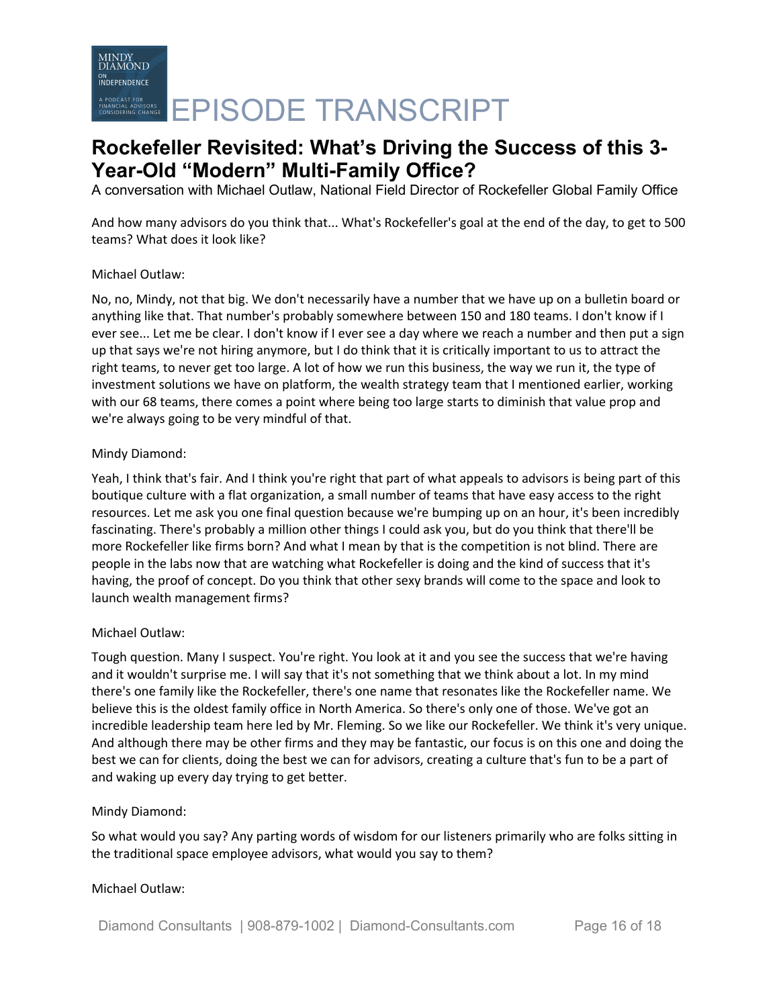A conversation with Michael Outlaw, National Field Director of Rockefeller Global Family Office

And how many advisors do you think that... What's Rockefeller's goal at the end of the day, to get to 500 teams? What does it look like?

### Michael Outlaw:

No, no, Mindy, not that big. We don't necessarily have a number that we have up on a bulletin board or anything like that. That number's probably somewhere between 150 and 180 teams. I don't know if I ever see... Let me be clear. I don't know if I ever see a day where we reach a number and then put a sign up that says we're not hiring anymore, but I do think that it is critically important to us to attract the right teams, to never get too large. A lot of how we run this business, the way we run it, the type of investment solutions we have on platform, the wealth strategy team that I mentioned earlier, working with our 68 teams, there comes a point where being too large starts to diminish that value prop and we're always going to be very mindful of that.

### Mindy Diamond:

Yeah, I think that's fair. And I think you're right that part of what appeals to advisors is being part of this boutique culture with a flat organization, a small number of teams that have easy access to the right resources. Let me ask you one final question because we're bumping up on an hour, it's been incredibly fascinating. There's probably a million other things I could ask you, but do you think that there'll be more Rockefeller like firms born? And what I mean by that is the competition is not blind. There are people in the labs now that are watching what Rockefeller is doing and the kind of success that it's having, the proof of concept. Do you think that other sexy brands will come to the space and look to launch wealth management firms?

### Michael Outlaw:

Tough question. Many I suspect. You're right. You look at it and you see the success that we're having and it wouldn't surprise me. I will say that it's not something that we think about a lot. In my mind there's one family like the Rockefeller, there's one name that resonates like the Rockefeller name. We believe this is the oldest family office in North America. So there's only one of those. We've got an incredible leadership team here led by Mr. Fleming. So we like our Rockefeller. We think it's very unique. And although there may be other firms and they may be fantastic, our focus is on this one and doing the best we can for clients, doing the best we can for advisors, creating a culture that's fun to be a part of and waking up every day trying to get better.

### Mindy Diamond:

So what would you say? Any parting words of wisdom for our listeners primarily who are folks sitting in the traditional space employee advisors, what would you say to them?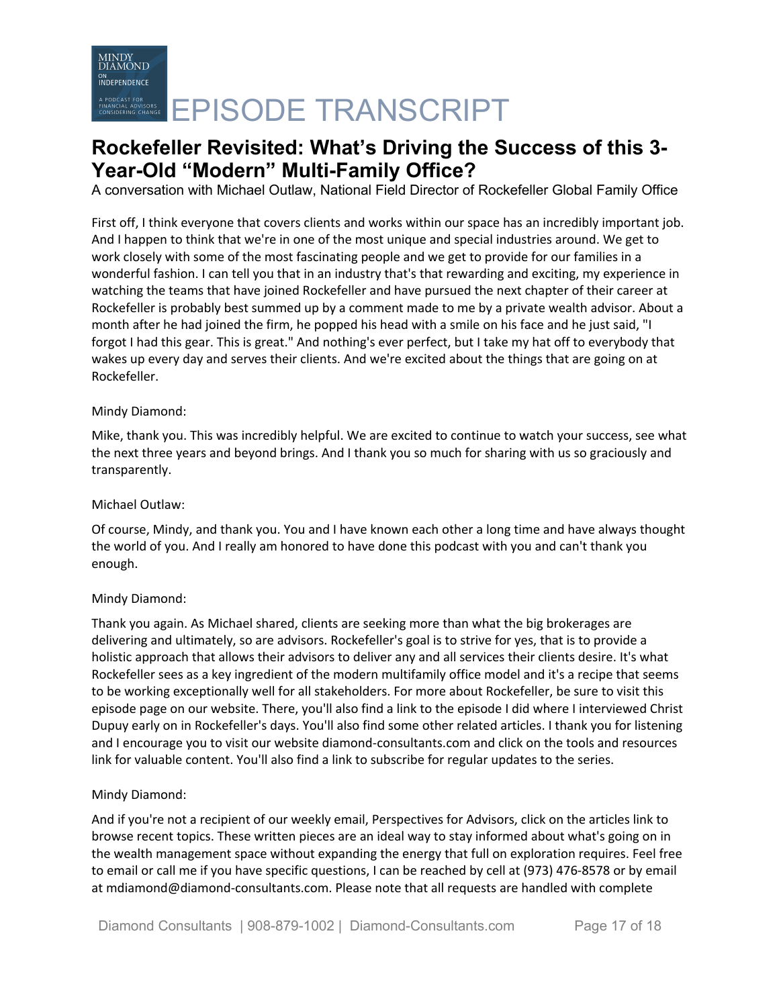A conversation with Michael Outlaw, National Field Director of Rockefeller Global Family Office

First off, I think everyone that covers clients and works within our space has an incredibly important job. And I happen to think that we're in one of the most unique and special industries around. We get to work closely with some of the most fascinating people and we get to provide for our families in a wonderful fashion. I can tell you that in an industry that's that rewarding and exciting, my experience in watching the teams that have joined Rockefeller and have pursued the next chapter of their career at Rockefeller is probably best summed up by a comment made to me by a private wealth advisor. About a month after he had joined the firm, he popped his head with a smile on his face and he just said, "I forgot I had this gear. This is great." And nothing's ever perfect, but I take my hat off to everybody that wakes up every day and serves their clients. And we're excited about the things that are going on at Rockefeller.

### Mindy Diamond:

Mike, thank you. This was incredibly helpful. We are excited to continue to watch your success, see what the next three years and beyond brings. And I thank you so much for sharing with us so graciously and transparently.

#### Michael Outlaw:

Of course, Mindy, and thank you. You and I have known each other a long time and have always thought the world of you. And I really am honored to have done this podcast with you and can't thank you enough.

### Mindy Diamond:

Thank you again. As Michael shared, clients are seeking more than what the big brokerages are delivering and ultimately, so are advisors. Rockefeller's goal is to strive for yes, that is to provide a holistic approach that allows their advisors to deliver any and all services their clients desire. It's what Rockefeller sees as a key ingredient of the modern multifamily office model and it's a recipe that seems to be working exceptionally well for all stakeholders. For more about Rockefeller, be sure to visit this episode page on our website. There, you'll also find a link to the episode I did where I interviewed Christ Dupuy early on in Rockefeller's days. You'll also find some other related articles. I thank you for listening and I encourage you to visit our website diamond-consultants.com and click on the tools and resources link for valuable content. You'll also find a link to subscribe for regular updates to the series.

### Mindy Diamond:

And if you're not a recipient of our weekly email, Perspectives for Advisors, click on the articles link to browse recent topics. These written pieces are an ideal way to stay informed about what's going on in the wealth management space without expanding the energy that full on exploration requires. Feel free to email or call me if you have specific questions, I can be reached by cell at (973) 476-8578 or by email at mdiamond@diamond-consultants.com. Please note that all requests are handled with complete